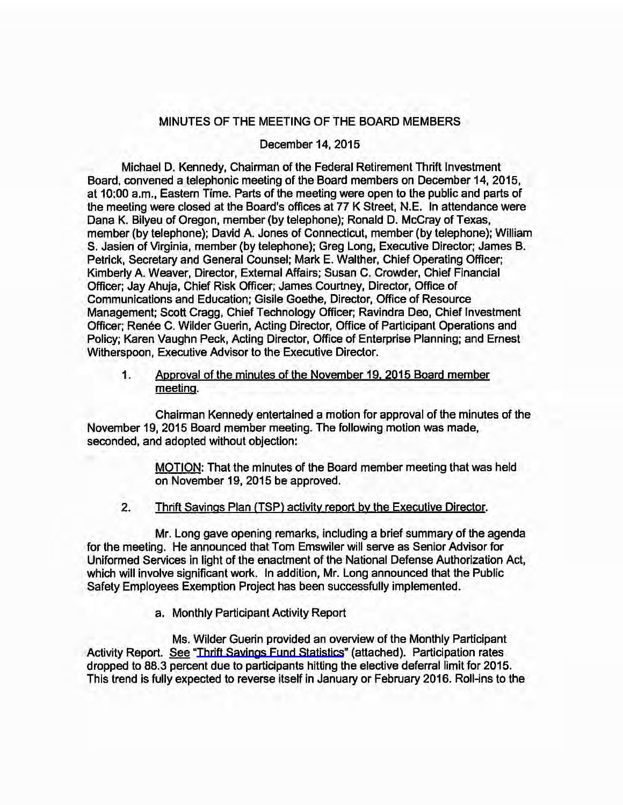## MINUTES OF THE MEETING OF THE BOARD MEMBERS

## December 14, 2015

Michael D. Kennedy, Chairman of the Federal Retirement Thrift Investment Board, convened a telephonic meeting of the Board members on December 14, 2015, at 10:00 a.m., Eastern Time. Parts of the meeting were open to the public and parts of the meeting were closed at the Board's offices at 77 K Street, N.E. In attendance were Dana K. Bilyeu of Oregon, member (by telephone); Ronald D. McCray of Texas, member (by telephone); David A. Jones of Connecticut, member (by telephone); William S. Jasien of Virginia, member (by telephone); Greg Long, Executive Director; James B. Petrick, Secretary and General Counsel; Mark E. Walther, Chief Operating Officer; Kimberly A. Weaver, Director, External Affairs; Susan C. Crowder, Chief Financial Officer; Jay Ahuja, Chief Risk Officer; James Courtney, Director, Office of Communications and Education; Gisile Goethe, Director, Office of Resource Management; Scott Cragg, Chief Technology Officer; Ravindra Dea, Chief Investment Officer; Renée C. Wilder Guerin, Acting Director, Office of Participant Operations and Policy; Karen Vaughn Peck, Acting Director, Office of Enterprise Planning; and Ernest Witherspoon, Executive Advisor to the Executive Director.

1. Approval of the minutes of the November 19. 2015 Board member meeting.

Chairman Kennedy entertained a motion for approval of the minutes of the November 19, 2015 Board member meeting. The following motion was made, seconded, and adopted without objection:

> MOTION: That the minutes of the Board member meeting that was held on November 19, 2015 be approved.

2. Thrift Savings Plan (TSP) activity report by the Executive Director.

Mr. Long gave opening remarks, including a brief summary of the agenda for the meeting. He announced that Tom Emswiler will serve as Senior Advisor for Uniformed Services in light of the enactment of the National Defense Authorization Act, which will involve significant work. In addition, Mr. Long announced that the Public Safety Employees Exemption Project has been successfully implemented.

a. Monthly Participant Activity Report

Ms. Wilder Guerin provided an overview of the Monthly Participant Activity Report. See ["Thrift Savings Fund Statistics](https://www.frtib.gov/pdf/minutes/MM-2015Dec-Att1.pdf)" (attached). Participation rates dropped to 88.3 percent due to participants hitting the elective deferral limit for 2015. This trend is fully expected to reverse itself in January or February 2016. Roll-ins to the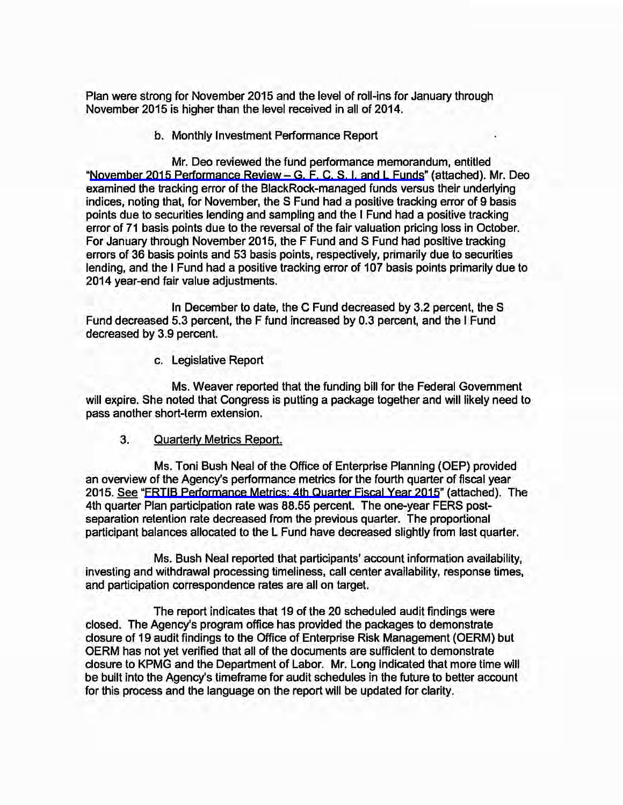Plan were strong for November 2015 and the level of roll-ins for January through November 2015 is higher than the level received in all of 2014.

b. Monthly Investment Performance Report

Mr. Deo reviewed the fund performance memorandum, entitled "[November 2015 Performance Review -](https://www.frtib.gov/pdf/minutes/MM-2015Dec-Att2.pdf) G, F, C, S, I, and L Funds" (attached). Mr. Deo examined the tracking error of the BlackRock-managed funds versus their underlying indices, noting that, for November, the S Fund had a positive tracking error of 9 basis points due to securities lending and sampling and the I Fund had a positive tracking error of 71 basis points due to the reversal of the fair valuation pricing loss in October. For January through November 2015, the F Fund and S Fund had positive tracking errors of 36 basis points and 53 basis points, respectively, primarily due to securities lending, and the I Fund had a positive tracking error of 107 basis points primarily due to 2014 year-end fair value adjustments.

In December to date, the C Fund decreased by 3.2 percent, the S Fund decreased 5.3 percent, the F fund increased by 0.3 percent, and the I Fund decreased by 3.9 percent.

c. Legislative Report

Ms. Weaver reported that the funding bill for the Federal Government will expire. She noted that Congress is putting a package together and will likely need to pass another short-term extension.

3. Quarterly Metrics Report.

Ms. Toni Bush Neal of the Office of Enterprise Planning (OEP) provided an overview of the Agency's performance metrics for the fourth quarter of fiscal year 2015. See "[FRTIB Performance Metrics: 4th Quarter Fiscal Year 2015"](https://www.frtib.gov/pdf/minutes/MM-2015Dec-Att3.pdf) (attached). The 4th quarter Plan participation rate was 88.55 percent. The one-year FERS postseparation retention rate decreased from the previous quarter. The proportional participant balances allocated to the L Fund have decreased slightly from last quarter.

Ms. Bush Neal reported that participants' account information availability, investing and withdrawal processing timeliness, call center availability, response times, and participation correspondence rates are all on target.

The report indicates that 19 of the 20 scheduled audit findings were closed. The Agency's program office has provided the packages to demonstrate closure of 19 audit findings to the Office of Enterprise Risk Management (OERM) but OERM has not yet verified that all of the documents are sufficient to demonstrate closure to KPMG and the Department of Labor. Mr. Long indicated that more time will be built into the Agency's timeframe for audit schedules in the future to better account for this process and the language on the report will be updated for clarity.